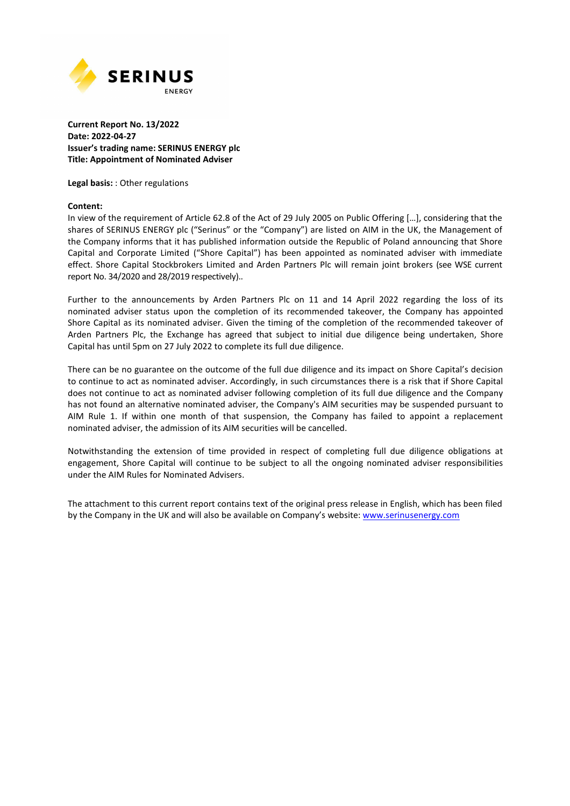

### **Current Report No. 13/2022 Date: 2022-04-27 Issuer's trading name: SERINUS ENERGY plc Title: Appointment of Nominated Adviser**

**Legal basis:** : Other regulations

#### **Content:**

In view of the requirement of Article 62.8 of the Act of 29 July 2005 on Public Offering […], considering that the shares of SERINUS ENERGY plc ("Serinus" or the "Company") are listed on AIM in the UK, the Management of the Company informs that it has published information outside the Republic of Poland announcing that Shore Capital and Corporate Limited ("Shore Capital") has been appointed as nominated adviser with immediate effect. Shore Capital Stockbrokers Limited and Arden Partners Plc will remain joint brokers (see WSE current report No. 34/2020 and 28/2019 respectively)..

Further to the announcements by Arden Partners Plc on 11 and 14 April 2022 regarding the loss of its nominated adviser status upon the completion of its recommended takeover, the Company has appointed Shore Capital as its nominated adviser. Given the timing of the completion of the recommended takeover of Arden Partners Plc, the Exchange has agreed that subject to initial due diligence being undertaken, Shore Capital has until 5pm on 27 July 2022 to complete its full due diligence.

There can be no guarantee on the outcome of the full due diligence and its impact on Shore Capital's decision to continue to act as nominated adviser. Accordingly, in such circumstances there is a risk that if Shore Capital does not continue to act as nominated adviser following completion of its full due diligence and the Company has not found an alternative nominated adviser, the Company's AIM securities may be suspended pursuant to AIM Rule 1. If within one month of that suspension, the Company has failed to appoint a replacement nominated adviser, the admission of its AIM securities will be cancelled.

Notwithstanding the extension of time provided in respect of completing full due diligence obligations at engagement, Shore Capital will continue to be subject to all the ongoing nominated adviser responsibilities under the AIM Rules for Nominated Advisers.

The attachment to this current report contains text of the original press release in English, which has been filed by the Company in the UK and will also be available on Company's website: www.serinusenergy.com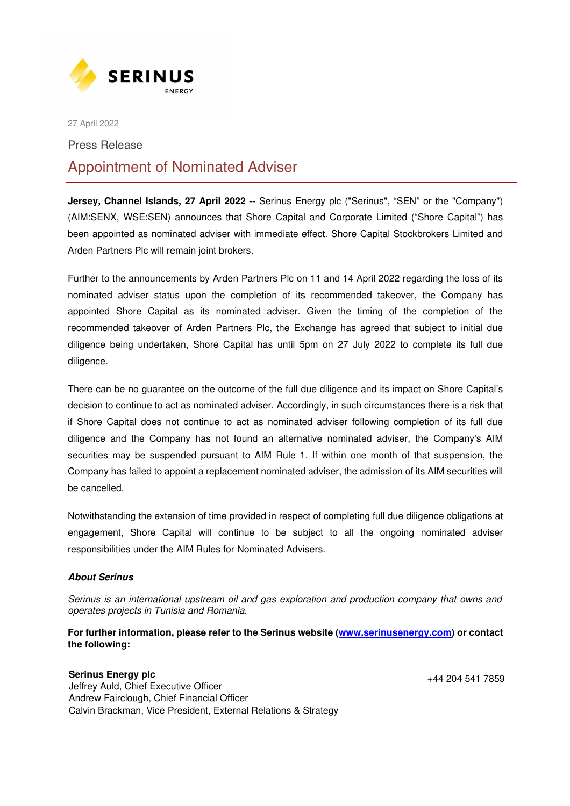

27 April 2022

Press Release

# Appointment of Nominated Adviser

**Jersey, Channel Islands, 27 April 2022 --** Serinus Energy plc ("Serinus", "SEN" or the "Company") (AIM:SENX, WSE:SEN) announces that Shore Capital and Corporate Limited ("Shore Capital") has been appointed as nominated adviser with immediate effect. Shore Capital Stockbrokers Limited and Arden Partners Plc will remain joint brokers.

Further to the announcements by Arden Partners Plc on 11 and 14 April 2022 regarding the loss of its nominated adviser status upon the completion of its recommended takeover, the Company has appointed Shore Capital as its nominated adviser. Given the timing of the completion of the recommended takeover of Arden Partners Plc, the Exchange has agreed that subject to initial due diligence being undertaken, Shore Capital has until 5pm on 27 July 2022 to complete its full due diligence.

There can be no guarantee on the outcome of the full due diligence and its impact on Shore Capital's decision to continue to act as nominated adviser. Accordingly, in such circumstances there is a risk that if Shore Capital does not continue to act as nominated adviser following completion of its full due diligence and the Company has not found an alternative nominated adviser, the Company's AIM securities may be suspended pursuant to AIM Rule 1. If within one month of that suspension, the Company has failed to appoint a replacement nominated adviser, the admission of its AIM securities will be cancelled.

Notwithstanding the extension of time provided in respect of completing full due diligence obligations at engagement, Shore Capital will continue to be subject to all the ongoing nominated adviser responsibilities under the AIM Rules for Nominated Advisers.

## **About Serinus**

*Serinus is an international upstream oil and gas exploration and production company that owns and operates projects in Tunisia and Romania.*

**For further information, please refer to the Serinus website (www.serinusenergy.com) or contact the following:** 

## **Serinus Energy plc**

+44 204 541 7859

Jeffrey Auld, Chief Executive Officer Andrew Fairclough, Chief Financial Officer Calvin Brackman, Vice President, External Relations & Strategy